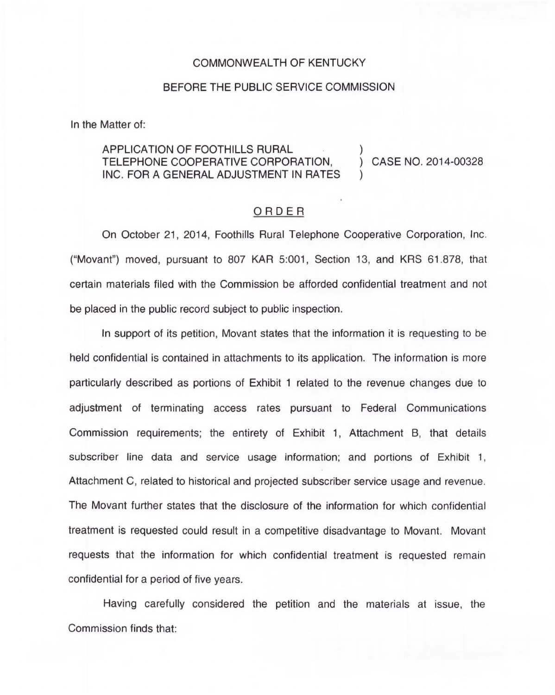## COMMONWEALTH OF KENTUCKY

## BEFORE THE PUBLIC SERVICE COMMISSION

In the Matter of:

## APPLICATION OF FOOTHILLS RURAL TELEPHONE COOPERATIVE CORPORATION, INC. FOR A GENERAL ADJUSTMENT IN RATES

) CASE NO. 2014-00328

)

)

## ORDER

On October 21, 2014, Foothills Rural Telephone Cooperative Corporation, Inc. ("Movant") moved, pursuant to 807 KAR 5:001, Section 13, and KRS 61.878, that certain materials filed with the Commission be afforded confidential treatment and not be placed in the public record subject to public inspection.

In support of its petition, Movant states that the information it is requesting to be held confidential is contained in attachments to its application. The information is more particularly described as portions of Exhibit 1 related to the revenue changes due to adjustment of terminating access rates pursuant to Federal Communications Commission requirements; the entirety of Exhibit 1, Attachment B, that details subscriber line data and service usage information; and portions of Exhibit 1, Attachment C, related to historical and projected subscriber service usage and revenue. The Movant further states that the disclosure of the information for which confidential treatment is requested could result in a competitive disadvantage to Movant. Movant requests that the information for which confidential treatment is requested remain confidential for a period of five years.

Having carefully considered the petition and the materials at issue, the Commission finds that: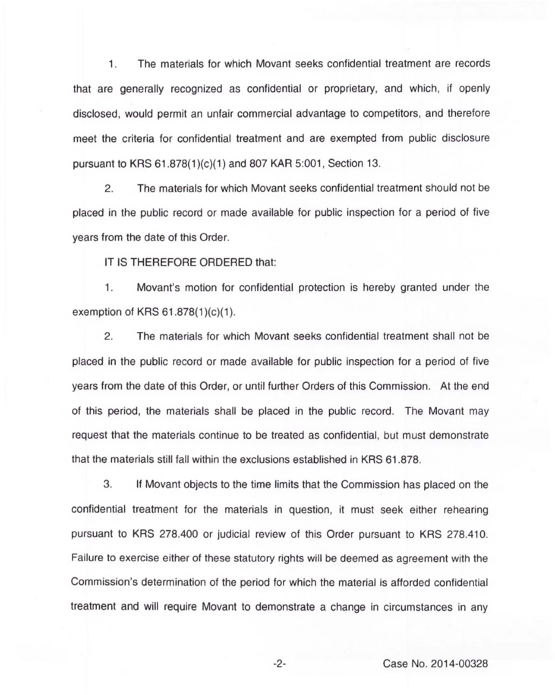1 . The materials for which Movant seeks confidential treatment are records that are generally recognized as confidential or proprietary, and which, if openly disclosed, would permit an unfair commercial advantage to competitors, and therefore meet the criteria for confidential treatment and are exempted from public disclosure pursuant to KRS 61.878(1 )(c)(1) and 807 KAR 5:001, Section 13.

2. The materials for which Movant seeks confidential treatment should not be placed in the public record or made available for public inspection for a period of five years from the date of this Order.

IT IS THEREFORE ORDERED that:

1. Movant's motion for confidential protection is hereby granted under the exemption of KRS 61.878(1)(c)(1).

2. The materials for which Movant seeks confidential treatment shall not be placed in the public record or made available for public inspection for a period of five years from the date of this Order, or until further Orders of this Commission. At the end of this period, the materials shall be placed in the public record. The Movant may request that the materials continue to be treated as confidential, but must demonstrate that the materials still fall within the exclusions established in KRS 61.878.

3. If Movant objects to the time limits that the Commission has placed on the confidential treatment for the materials in question, it must seek either rehearing pursuant to KRS 278.400 or judicial review of this Order pursuant to KRS 278.410. Failure to exercise either of these statutory rights will be deemed as agreement with the Commission's determination of the period for which the material is afforded confidential treatment and will require Movant to demonstrate a change in circumstances in any

-2- Case No. 2014-00328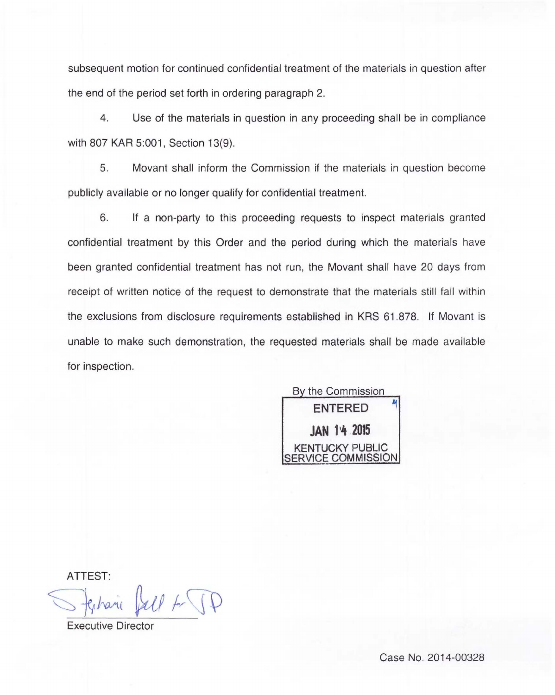subsequent motion for continued confidential treatment of the materials in question after the end of the period set forth in ordering paragraph 2.

4. Use of the materials in question in any proceeding shall be in compliance with 807 KAR 5:001, Section 13(9).

5. Movant shall inform the Commission if the materials in question become publicly available or no longer qualify for confidential treatment.

6. If a non-party to this proceeding requests to inspect materials granted confidential treatment by this Order and the period during which the materials have been granted confidential treatment has not run, the Movant shall have 20 days from receipt of written notice of the request to demonstrate that the materials still fall within the exclusions from disclosure requirements established in KRS 61 .878. If Movant is unable to make such demonstration, the requested materials shall be made available for inspection.

By the Commission **ENTERED JAN 14 2015 JCKY PUBLIC** SERVICE COMMISSION

ATTEST:

 $U$  fr  $\P$ 

Executive Director